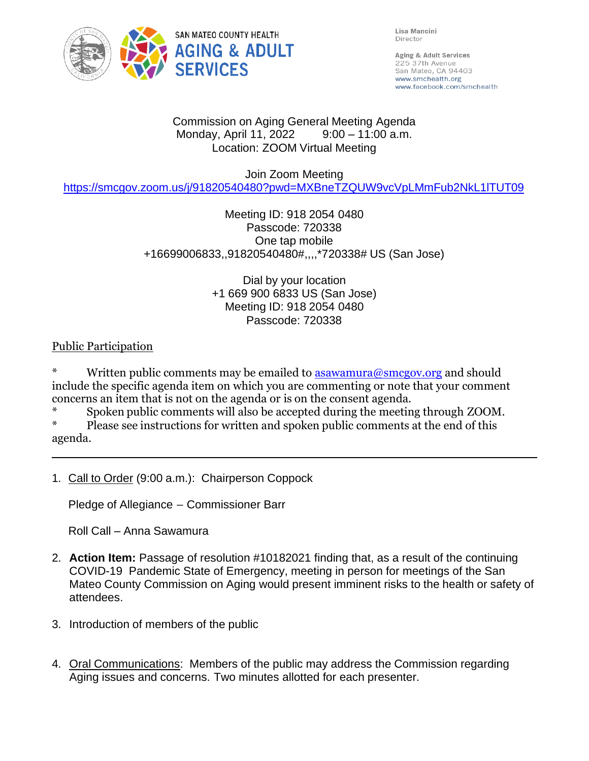

Lisa Mancini Director

Aging & Adult Services 225 37th Avenue San Mateo, CA 94403 www.smchealth.org www.facebook.com/smchealth

#### Commission on Aging General Meeting Agenda Monday, April 11, 2022 9:00 – 11:00 a.m. Location: ZOOM Virtual Meeting

#### Join Zoom Meeting

<https://smcgov.zoom.us/j/91820540480?pwd=MXBneTZQUW9vcVpLMmFub2NkL1lTUT09>

## Meeting ID: 918 2054 0480 Passcode: 720338 One tap mobile +16699006833,,91820540480#,,,,\*720338# US (San Jose)

Dial by your location +1 669 900 6833 US (San Jose) Meeting ID: 918 2054 0480 Passcode: 720338

## Public Participation

Written public comments may be emailed to **[asawamura@smcgov.org](mailto:asawamura@smcgov.org)** and should include the specific agenda item on which you are commenting or note that your comment concerns an item that is not on the agenda or is on the consent agenda.

\* Spoken public comments will also be accepted during the meeting through ZOOM.

Please see instructions for written and spoken public comments at the end of this agenda.

1. Call to Order (9:00 a.m.): Chairperson Coppock

Pledge of Allegiance – Commissioner Barr

Roll Call – Anna Sawamura

- 2. **Action Item:** Passage of resolution #10182021 finding that, as a result of the continuing COVID-19 Pandemic State of Emergency, meeting in person for meetings of the San Mateo County Commission on Aging would present imminent risks to the health or safety of attendees.
- 3. Introduction of members of the public
- 4. Oral Communications: Members of the public may address the Commission regarding Aging issues and concerns. Two minutes allotted for each presenter.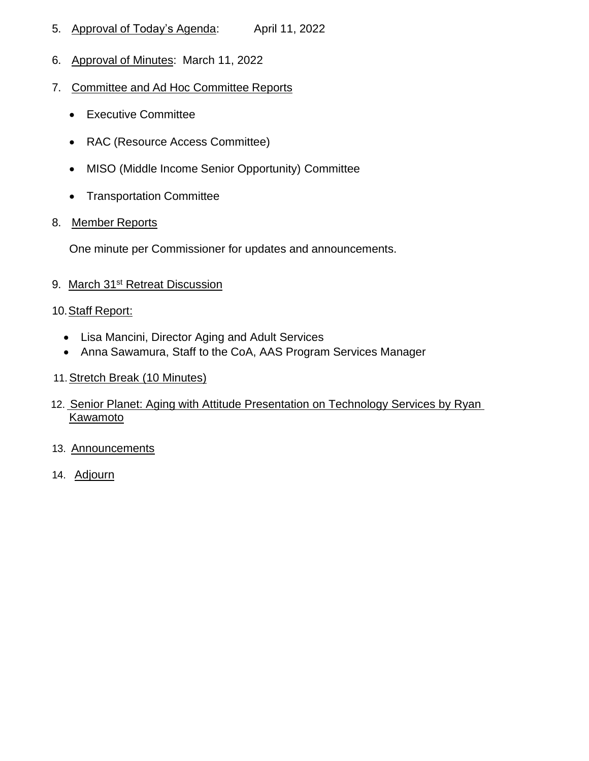- 5. Approval of Today's Agenda: April 11, 2022
- 6. Approval of Minutes: March 11, 2022
- 7. Committee and Ad Hoc Committee Reports
	- Executive Committee
	- RAC (Resource Access Committee)
	- MISO (Middle Income Senior Opportunity) Committee
	- Transportation Committee
- 8. Member Reports

One minute per Commissioner for updates and announcements.

9. March 31<sup>st</sup> Retreat Discussion

#### 10. Staff Report:

- Lisa Mancini, Director Aging and Adult Services
- Anna Sawamura, Staff to the CoA, AAS Program Services Manager
- 11.Stretch Break (10 Minutes)
- 12. Senior Planet: Aging with Attitude Presentation on Technology Services by Ryan **Kawamoto**
- 13. Announcements
- 14. Adjourn